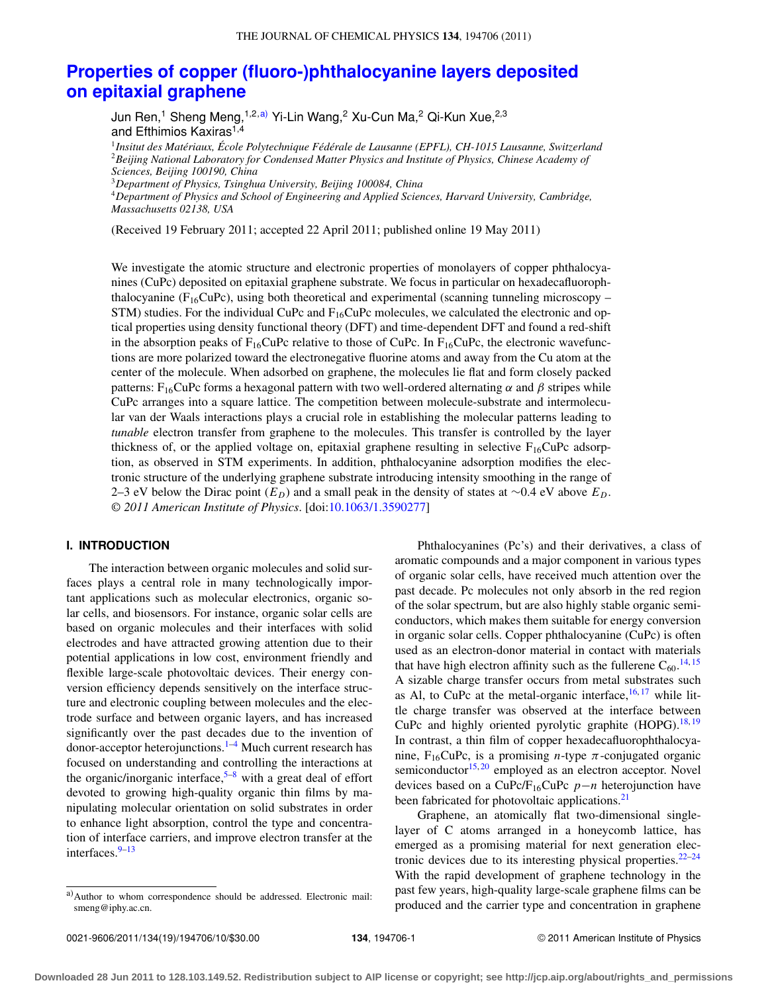# **[Properties of copper \(fluoro-\)phthalocyanine layers deposited](http://dx.doi.org/10.1063/1.3590277) [on epitaxial graphene](http://dx.doi.org/10.1063/1.3590277)**

Jun Ren,<sup>1</sup> Sheng Meng,<sup>1,2[,a\)](#page-0-0)</sup> Yi-Lin Wang,<sup>2</sup> Xu-Cun Ma,<sup>2</sup> Qi-Kun Xue,<sup>2,3</sup> and Efthimios Kaxiras<sup>1,4</sup>

<sup>1</sup>*Insitut des Matériaux, École Polytechnique Fédérale de Lausanne (EPFL), CH-1015 Lausanne, Switzerland* <sup>2</sup>*Beijing National Laboratory for Condensed Matter Physics and Institute of Physics, Chinese Academy of Sciences, Beijing 100190, China*

<sup>3</sup>*Department of Physics, Tsinghua University, Beijing 100084, China*

<sup>4</sup>*Department of Physics and School of Engineering and Applied Sciences, Harvard University, Cambridge, Massachusetts 02138, USA*

(Received 19 February 2011; accepted 22 April 2011; published online 19 May 2011)

We investigate the atomic structure and electronic properties of monolayers of copper phthalocyanines (CuPc) deposited on epitaxial graphene substrate. We focus in particular on hexadecafluorophthalocyanine ( $F_{16}$ CuPc), using both theoretical and experimental (scanning tunneling microscopy – STM) studies. For the individual CuPc and  $F_{16}$ CuPc molecules, we calculated the electronic and optical properties using density functional theory (DFT) and time-dependent DFT and found a red-shift in the absorption peaks of  $F_{16}$ CuPc relative to those of CuPc. In  $F_{16}$ CuPc, the electronic wavefunctions are more polarized toward the electronegative fluorine atoms and away from the Cu atom at the center of the molecule. When adsorbed on graphene, the molecules lie flat and form closely packed patterns: F<sub>16</sub>CuPc forms a hexagonal pattern with two well-ordered alternating α and β stripes while CuPc arranges into a square lattice. The competition between molecule-substrate and intermolecular van der Waals interactions plays a crucial role in establishing the molecular patterns leading to *tunable* electron transfer from graphene to the molecules. This transfer is controlled by the layer thickness of, or the applied voltage on, epitaxial graphene resulting in selective  $F_{16}CuPc$  adsorption, as observed in STM experiments. In addition, phthalocyanine adsorption modifies the electronic structure of the underlying graphene substrate introducing intensity smoothing in the range of 2–3 eV below the Dirac point (*ED*) and a small peak in the density of states at ∼0.4 eV above *ED*. *© 2011 American Institute of Physics*. [doi[:10.1063/1.3590277\]](http://dx.doi.org/10.1063/1.3590277)

# **I. INTRODUCTION**

The interaction between organic molecules and solid surfaces plays a central role in many technologically important applications such as molecular electronics, organic solar cells, and biosensors. For instance, organic solar cells are based on organic molecules and their interfaces with solid electrodes and have attracted growing attention due to their potential applications in low cost, environment friendly and flexible large-scale photovoltaic devices. Their energy conversion efficiency depends sensitively on the interface structure and electronic coupling between molecules and the electrode surface and between organic layers, and has increased significantly over the past decades due to the invention of donor-acceptor heterojunctions.<sup>1–[4](#page-9-1)</sup> Much current research has focused on understanding and controlling the interactions at the organic/inorganic interface,  $5-8$  $5-8$  with a great deal of effort devoted to growing high-quality organic thin films by manipulating molecular orientation on solid substrates in order to enhance light absorption, control the type and concentration of interface carriers, and improve electron transfer at the interfaces.<sup>[9–](#page-9-4)[13](#page-9-5)</sup>

Phthalocyanines (Pc's) and their derivatives, a class of aromatic compounds and a major component in various types of organic solar cells, have received much attention over the past decade. Pc molecules not only absorb in the red region of the solar spectrum, but are also highly stable organic semiconductors, which makes them suitable for energy conversion in organic solar cells. Copper phthalocyanine (CuPc) is often used as an electron-donor material in contact with materials that have high electron affinity such as the fullerene  $C_{60}$ .<sup>[14,](#page-9-6) [15](#page-9-7)</sup> A sizable charge transfer occurs from metal substrates such as Al, to CuPc at the metal-organic interface,  $16, 17$  $16, 17$  $16, 17$  while little charge transfer was observed at the interface between CuPc and highly oriented pyrolytic graphite (HOPG).<sup>18,[19](#page-9-11)</sup> In contrast, a thin film of copper hexadecafluorophthalocyanine,  $F_{16}CuPc$ , is a promising *n*-type  $\pi$ -conjugated organic semiconductor $15,20$  $15,20$  employed as an electron acceptor. Novel devices based on a CuPc/F16CuPc *p*−*n* heterojunction have been fabricated for photovoltaic applications.<sup>[21](#page-9-13)</sup>

Graphene, an atomically flat two-dimensional singlelayer of C atoms arranged in a honeycomb lattice, has emerged as a promising material for next generation electronic devices due to its interesting physical properties. $22-24$  $22-24$ With the rapid development of graphene technology in the past few years, high-quality large-scale graphene films can be produced and the carrier type and concentration in graphene

<span id="page-0-0"></span>a)Author to whom correspondence should be addressed. Electronic mail: [smeng@iphy.ac.cn.](mailto: smeng@iphy.ac.cn)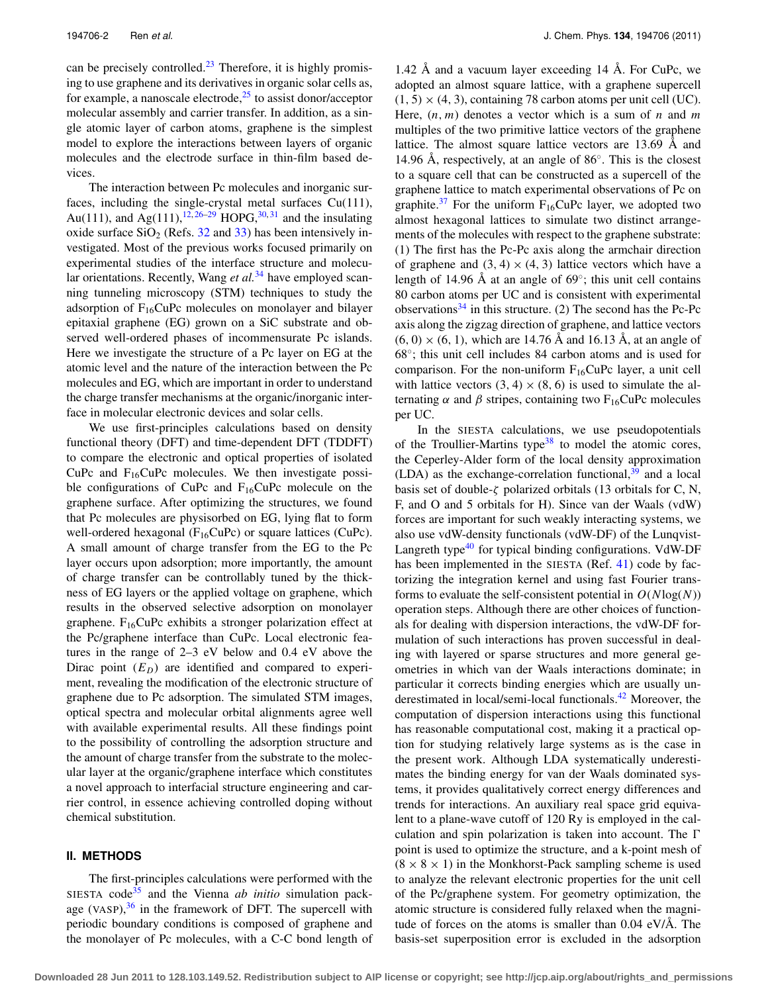can be precisely controlled. $^{23}$  $^{23}$  $^{23}$  Therefore, it is highly promising to use graphene and its derivatives in organic solar cells as, for example, a nanoscale electrode, $25$  to assist donor/acceptor molecular assembly and carrier transfer. In addition, as a single atomic layer of carbon atoms, graphene is the simplest model to explore the interactions between layers of organic molecules and the electrode surface in thin-film based devices.

The interaction between Pc molecules and inorganic surfaces, including the single-crystal metal surfaces Cu(111), Au(111), and Ag(111),  $12,26-29$  $12,26-29$  $12,26-29$  HOPG,  $30,31$  $30,31$  and the insulating oxide surface  $SiO<sub>2</sub>$  (Refs. [32](#page-9-23) and [33\)](#page-9-24) has been intensively investigated. Most of the previous works focused primarily on experimental studies of the interface structure and molecu-lar orientations. Recently, Wang et al.<sup>[34](#page-9-25)</sup> have employed scanning tunneling microscopy (STM) techniques to study the adsorption of  $F_{16}CuPc$  molecules on monolayer and bilayer epitaxial graphene (EG) grown on a SiC substrate and observed well-ordered phases of incommensurate Pc islands. Here we investigate the structure of a Pc layer on EG at the atomic level and the nature of the interaction between the Pc molecules and EG, which are important in order to understand the charge transfer mechanisms at the organic/inorganic interface in molecular electronic devices and solar cells.

We use first-principles calculations based on density functional theory (DFT) and time-dependent DFT (TDDFT) to compare the electronic and optical properties of isolated CuPc and  $F_{16}$ CuPc molecules. We then investigate possible configurations of CuPc and  $F_{16}$ CuPc molecule on the graphene surface. After optimizing the structures, we found that Pc molecules are physisorbed on EG, lying flat to form well-ordered hexagonal ( $F_{16}CuPc$ ) or square lattices (CuPc). A small amount of charge transfer from the EG to the Pc layer occurs upon adsorption; more importantly, the amount of charge transfer can be controllably tuned by the thickness of EG layers or the applied voltage on graphene, which results in the observed selective adsorption on monolayer graphene.  $F_{16}CuPc$  exhibits a stronger polarization effect at the Pc/graphene interface than CuPc. Local electronic features in the range of 2–3 eV below and 0.4 eV above the Dirac point  $(E_D)$  are identified and compared to experiment, revealing the modification of the electronic structure of graphene due to Pc adsorption. The simulated STM images, optical spectra and molecular orbital alignments agree well with available experimental results. All these findings point to the possibility of controlling the adsorption structure and the amount of charge transfer from the substrate to the molecular layer at the organic/graphene interface which constitutes a novel approach to interfacial structure engineering and carrier control, in essence achieving controlled doping without chemical substitution.

## **II. METHODS**

The first-principles calculations were performed with the SIESTA code<sup>35</sup> and the Vienna *ab initio* simulation package (VASP), $36$  in the framework of DFT. The supercell with periodic boundary conditions is composed of graphene and the monolayer of Pc molecules, with a C-C bond length of 1.42 Å and a vacuum layer exceeding 14 Å. For CuPc, we adopted an almost square lattice, with a graphene supercell  $(1, 5) \times (4, 3)$ , containing 78 carbon atoms per unit cell (UC). Here, (*n*, *m*) denotes a vector which is a sum of *n* and *m* multiples of the two primitive lattice vectors of the graphene lattice. The almost square lattice vectors are 13.69 Å and 14.96 Å, respectively, at an angle of 86◦. This is the closest to a square cell that can be constructed as a supercell of the graphene lattice to match experimental observations of Pc on graphite.<sup>[37](#page-9-28)</sup> For the uniform  $F_{16}CuPc$  layer, we adopted two almost hexagonal lattices to simulate two distinct arrangements of the molecules with respect to the graphene substrate: (1) The first has the Pc-Pc axis along the armchair direction of graphene and  $(3, 4) \times (4, 3)$  lattice vectors which have a length of 14.96 Å at an angle of 69◦; this unit cell contains 80 carbon atoms per UC and is consistent with experimental observations $34$  in this structure. (2) The second has the Pc-Pc axis along the zigzag direction of graphene, and lattice vectors  $(6, 0) \times (6, 1)$ , which are 14.76 Å and 16.13 Å, at an angle of 68◦; this unit cell includes 84 carbon atoms and is used for comparison. For the non-uniform  $F_{16}CuPc$  layer, a unit cell with lattice vectors  $(3, 4) \times (8, 6)$  is used to simulate the alternating  $\alpha$  and  $\beta$  stripes, containing two F<sub>16</sub>CuPc molecules per UC.

In the SIESTA calculations, we use pseudopotentials of the Troullier-Martins type $38$  to model the atomic cores, the Ceperley-Alder form of the local density approximation (LDA) as the exchange-correlation functional, $39$  and a local basis set of double- $\zeta$  polarized orbitals (13 orbitals for C, N, F, and O and 5 orbitals for H). Since van der Waals (vdW) forces are important for such weakly interacting systems, we also use vdW-density functionals (vdW-DF) of the Lunqvist-Langreth type $40$  for typical binding configurations. VdW-DF has been implemented in the SIESTA (Ref. [41\)](#page-9-32) code by factorizing the integration kernel and using fast Fourier transforms to evaluate the self-consistent potential in  $O(N \log(N))$ operation steps. Although there are other choices of functionals for dealing with dispersion interactions, the vdW-DF formulation of such interactions has proven successful in dealing with layered or sparse structures and more general geometries in which van der Waals interactions dominate; in particular it corrects binding energies which are usually un-derestimated in local/semi-local functionals.<sup>[42](#page-9-33)</sup> Moreover, the computation of dispersion interactions using this functional has reasonable computational cost, making it a practical option for studying relatively large systems as is the case in the present work. Although LDA systematically underestimates the binding energy for van der Waals dominated systems, it provides qualitatively correct energy differences and trends for interactions. An auxiliary real space grid equivalent to a plane-wave cutoff of 120 Ry is employed in the calculation and spin polarization is taken into account. The  $\Gamma$ point is used to optimize the structure, and a k-point mesh of  $(8 \times 8 \times 1)$  in the Monkhorst-Pack sampling scheme is used to analyze the relevant electronic properties for the unit cell of the Pc/graphene system. For geometry optimization, the atomic structure is considered fully relaxed when the magnitude of forces on the atoms is smaller than 0.04 eV/Å. The basis-set superposition error is excluded in the adsorption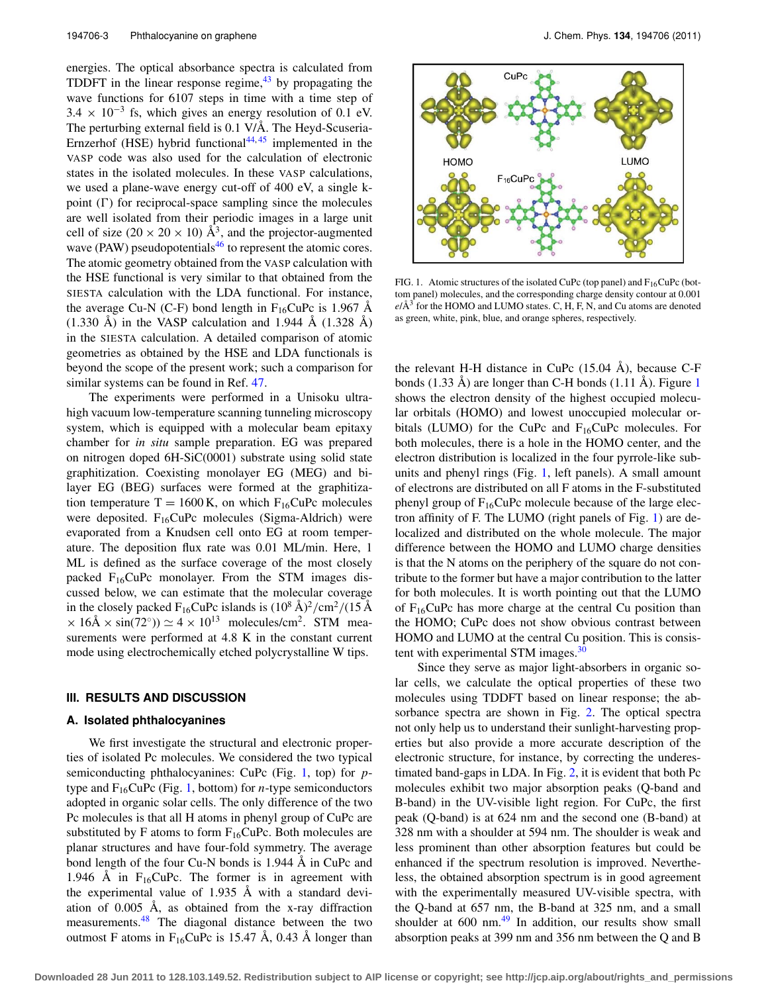energies. The optical absorbance spectra is calculated from TDDFT in the linear response regime, $43$  by propagating the wave functions for 6107 steps in time with a time step of  $3.4 \times 10^{-3}$  fs, which gives an energy resolution of 0.1 eV. The perturbing external field is 0.1 V/Å. The Heyd-Scuseria-Ernzerhof (HSE) hybrid functional $44,45$  $44,45$  implemented in the VASP code was also used for the calculation of electronic states in the isolated molecules. In these VASP calculations, we used a plane-wave energy cut-off of 400 eV, a single kpoint  $(\Gamma)$  for reciprocal-space sampling since the molecules are well isolated from their periodic images in a large unit cell of size (20  $\times$  20  $\times$  10) Å<sup>3</sup>, and the projector-augmented wave (PAW) pseudopotentials<sup>46</sup> to represent the atomic cores. The atomic geometry obtained from the VASP calculation with the HSE functional is very similar to that obtained from the SIESTA calculation with the LDA functional. For instance, the average Cu-N (C-F) bond length in  $F_{16}$ CuPc is 1.967 Å  $(1.330 \text{ Å})$  in the VASP calculation and 1.944 Å  $(1.328 \text{ Å})$ in the SIESTA calculation. A detailed comparison of atomic geometries as obtained by the HSE and LDA functionals is beyond the scope of the present work; such a comparison for similar systems can be found in Ref. [47.](#page-9-38)

The experiments were performed in a Unisoku ultrahigh vacuum low-temperature scanning tunneling microscopy system, which is equipped with a molecular beam epitaxy chamber for *in situ* sample preparation. EG was prepared on nitrogen doped 6H-SiC(0001) substrate using solid state graphitization. Coexisting monolayer EG (MEG) and bilayer EG (BEG) surfaces were formed at the graphitization temperature  $T = 1600$  K, on which  $F_{16}$ CuPc molecules were deposited.  $F_{16}CuPc$  molecules (Sigma-Aldrich) were evaporated from a Knudsen cell onto EG at room temperature. The deposition flux rate was 0.01 ML/min. Here, 1 ML is defined as the surface coverage of the most closely packed  $F_{16}CuPc$  monolayer. From the STM images discussed below, we can estimate that the molecular coverage in the closely packed  $F_{16}$ CuPc islands is  $(10^8 \text{ Å})^2/\text{cm}^2/(15 \text{ Å})$  $\times$  16Å  $\times$  sin(72°))  $\simeq$  4  $\times$  10<sup>13</sup> molecules/cm<sup>2</sup>. STM measurements were performed at 4.8 K in the constant current mode using electrochemically etched polycrystalline W tips.

## <span id="page-2-1"></span>**III. RESULTS AND DISCUSSION**

#### **A. Isolated phthalocyanines**

We first investigate the structural and electronic properties of isolated Pc molecules. We considered the two typical semiconducting phthalocyanines: CuPc (Fig. [1,](#page-2-0) top) for *p*type and  $F_{16}CuPc$  (Fig. [1,](#page-2-0) bottom) for *n*-type semiconductors adopted in organic solar cells. The only difference of the two Pc molecules is that all H atoms in phenyl group of CuPc are substituted by F atoms to form  $F_{16}CuPc$ . Both molecules are planar structures and have four-fold symmetry. The average bond length of the four Cu-N bonds is 1.944 Å in CuPc and 1.946 Å in  $F_{16}$ CuPc. The former is in agreement with the experimental value of 1.935 Å with a standard deviation of 0.005 Å, as obtained from the x-ray diffraction measurements.<sup>48</sup> The diagonal distance between the two outmost F atoms in  $F_{16}$ CuPc is 15.47 Å, 0.43 Å longer than

<span id="page-2-0"></span>

FIG. 1. Atomic structures of the isolated CuPc (top panel) and  $F_{16}CuPc$  (bottom panel) molecules, and the corresponding charge density contour at 0.001  $e/\text{\AA}^3$  for the HOMO and LUMO states. C, H, F, N, and Cu atoms are denoted as green, white, pink, blue, and orange spheres, respectively.

the relevant H-H distance in CuPc (15.04 Å), because C-F bonds (1.33 Å) are longer than C-H bonds (1.11 Å). Figure [1](#page-2-0) shows the electron density of the highest occupied molecular orbitals (HOMO) and lowest unoccupied molecular orbitals (LUMO) for the CuPc and  $F_{16}$ CuPc molecules. For both molecules, there is a hole in the HOMO center, and the electron distribution is localized in the four pyrrole-like subunits and phenyl rings (Fig. [1,](#page-2-0) left panels). A small amount of electrons are distributed on all F atoms in the F-substituted phenyl group of  $F_{16}CuPc$  molecule because of the large electron affinity of F. The LUMO (right panels of Fig. [1\)](#page-2-0) are delocalized and distributed on the whole molecule. The major difference between the HOMO and LUMO charge densities is that the N atoms on the periphery of the square do not contribute to the former but have a major contribution to the latter for both molecules. It is worth pointing out that the LUMO of  $F_{16}$ CuPc has more charge at the central Cu position than the HOMO; CuPc does not show obvious contrast between HOMO and LUMO at the central Cu position. This is consis-tent with experimental STM images.<sup>[30](#page-9-21)</sup>

Since they serve as major light-absorbers in organic solar cells, we calculate the optical properties of these two molecules using TDDFT based on linear response; the absorbance spectra are shown in Fig. [2.](#page-3-0) The optical spectra not only help us to understand their sunlight-harvesting properties but also provide a more accurate description of the electronic structure, for instance, by correcting the underestimated band-gaps in LDA. In Fig. [2,](#page-3-0) it is evident that both Pc molecules exhibit two major absorption peaks (Q-band and B-band) in the UV-visible light region. For CuPc, the first peak (Q-band) is at 624 nm and the second one (B-band) at 328 nm with a shoulder at 594 nm. The shoulder is weak and less prominent than other absorption features but could be enhanced if the spectrum resolution is improved. Nevertheless, the obtained absorption spectrum is in good agreement with the experimentally measured UV-visible spectra, with the Q-band at 657 nm, the B-band at 325 nm, and a small shoulder at  $600 \text{ nm}^{49}$  $600 \text{ nm}^{49}$  $600 \text{ nm}^{49}$  In addition, our results show small absorption peaks at 399 nm and 356 nm between the Q and B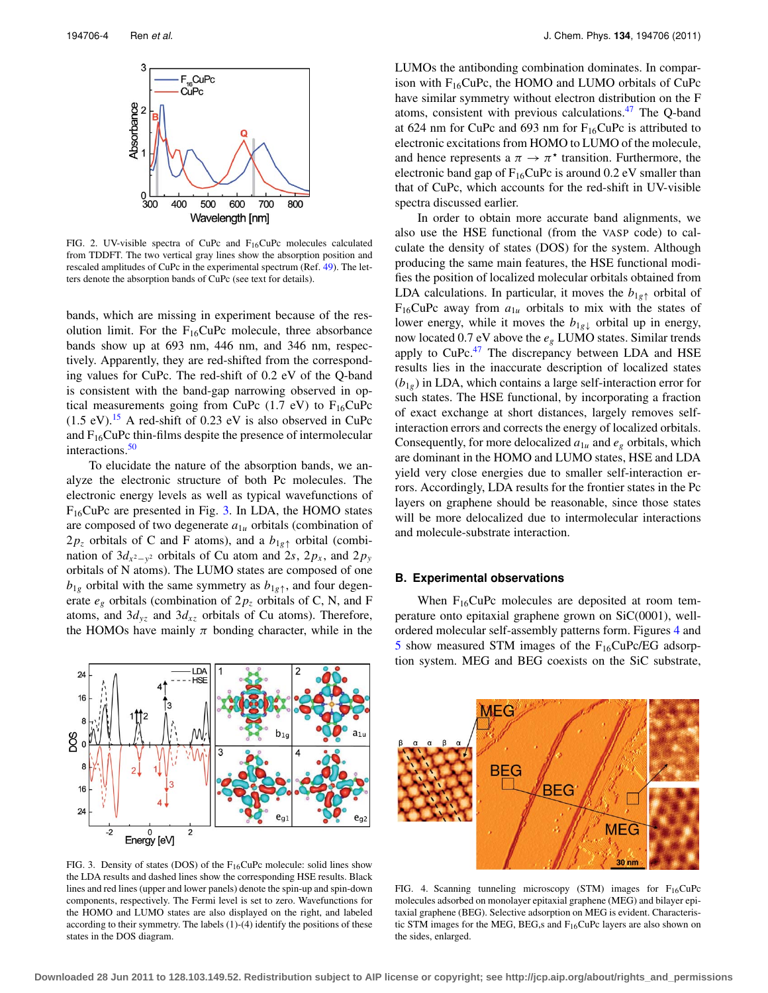<span id="page-3-0"></span>

FIG. 2. UV-visible spectra of CuPc and F16CuPc molecules calculated from TDDFT. The two vertical gray lines show the absorption position and rescaled amplitudes of CuPc in the experimental spectrum (Ref. [49\)](#page-9-40). The letters denote the absorption bands of CuPc (see text for details).

bands, which are missing in experiment because of the resolution limit. For the  $F_{16}CuPc$  molecule, three absorbance bands show up at 693 nm, 446 nm, and 346 nm, respectively. Apparently, they are red-shifted from the corresponding values for CuPc. The red-shift of 0.2 eV of the Q-band is consistent with the band-gap narrowing observed in optical measurements going from CuPc  $(1.7 \text{ eV})$  to  $F_{16}$ CuPc  $(1.5 \text{ eV})$ .<sup>15</sup> A red-shift of 0.23 eV is also observed in CuPc and  $F_{16}$ CuPc thin-films despite the presence of intermolecular interactions.<sup>[50](#page-9-41)</sup>

To elucidate the nature of the absorption bands, we analyze the electronic structure of both Pc molecules. The electronic energy levels as well as typical wavefunctions of F16CuPc are presented in Fig. [3.](#page-3-1) In LDA, the HOMO states are composed of two degenerate *a*1*<sup>u</sup>* orbitals (combination of  $2p_z$  orbitals of C and F atoms), and a  $b_{1g\uparrow}$  orbital (combination of  $3d_{x^2-y^2}$  orbitals of Cu atom and 2*s*, 2*p<sub>x</sub>*, and 2*p<sub>y</sub>* orbitals of N atoms). The LUMO states are composed of one  $b_{1g}$  orbital with the same symmetry as  $b_{1g}$ <sup>\*</sup>, and four degenerate  $e_g$  orbitals (combination of  $2p_z$  orbitals of C, N, and F atoms, and  $3d_{yz}$  and  $3d_{xz}$  orbitals of Cu atoms). Therefore, the HOMOs have mainly  $\pi$  bonding character, while in the

<span id="page-3-1"></span>

LUMOs the antibonding combination dominates. In comparison with  $F_{16}CuPc$ , the HOMO and LUMO orbitals of CuPc have similar symmetry without electron distribution on the F atoms, consistent with previous calculations[.47](#page-9-38) The Q-band at 624 nm for CuPc and 693 nm for  $F_{16}$ CuPc is attributed to electronic excitations from HOMO to LUMO of the molecule, and hence represents a  $\pi \to \pi^*$  transition. Furthermore, the electronic band gap of  $F_{16}CuPc$  is around 0.2 eV smaller than that of CuPc, which accounts for the red-shift in UV-visible spectra discussed earlier.

In order to obtain more accurate band alignments, we also use the HSE functional (from the VASP code) to calculate the density of states (DOS) for the system. Although producing the same main features, the HSE functional modifies the position of localized molecular orbitals obtained from LDA calculations. In particular, it moves the  $b_{1g\uparrow}$  orbital of  $F_{16}$ CuPc away from  $a_{1u}$  orbitals to mix with the states of lower energy, while it moves the  $b_{1g\downarrow}$  orbital up in energy, now located 0.7 eV above the *eg* LUMO states. Similar trends apply to  $CuPc<sup>47</sup>$  $CuPc<sup>47</sup>$  $CuPc<sup>47</sup>$  The discrepancy between LDA and HSE results lies in the inaccurate description of localized states  $(b_{1g})$  in LDA, which contains a large self-interaction error for such states. The HSE functional, by incorporating a fraction of exact exchange at short distances, largely removes selfinteraction errors and corrects the energy of localized orbitals. Consequently, for more delocalized  $a_{1u}$  and  $e_g$  orbitals, which are dominant in the HOMO and LUMO states, HSE and LDA yield very close energies due to smaller self-interaction errors. Accordingly, LDA results for the frontier states in the Pc layers on graphene should be reasonable, since those states will be more delocalized due to intermolecular interactions and molecule-substrate interaction.

## **B. Experimental observations**

When  $F_{16}CuPc$  molecules are deposited at room temperature onto epitaxial graphene grown on SiC(0001), wellordered molecular self-assembly patterns form. Figures [4](#page-3-2) and [5](#page-4-0) show measured STM images of the  $F_{16}CuPc/EG$  adsorption system. MEG and BEG coexists on the SiC substrate,

<span id="page-3-2"></span>

FIG. 3. Density of states (DOS) of the  $F_{16}$ CuPc molecule: solid lines show the LDA results and dashed lines show the corresponding HSE results. Black lines and red lines (upper and lower panels) denote the spin-up and spin-down components, respectively. The Fermi level is set to zero. Wavefunctions for the HOMO and LUMO states are also displayed on the right, and labeled according to their symmetry. The labels (1)-(4) identify the positions of these states in the DOS diagram.

FIG. 4. Scanning tunneling microscopy (STM) images for  $F_{16}CuPc$ molecules adsorbed on monolayer epitaxial graphene (MEG) and bilayer epitaxial graphene (BEG). Selective adsorption on MEG is evident. Characteristic STM images for the MEG, BEG,s and  $F_{16}$ CuPc layers are also shown on the sides, enlarged.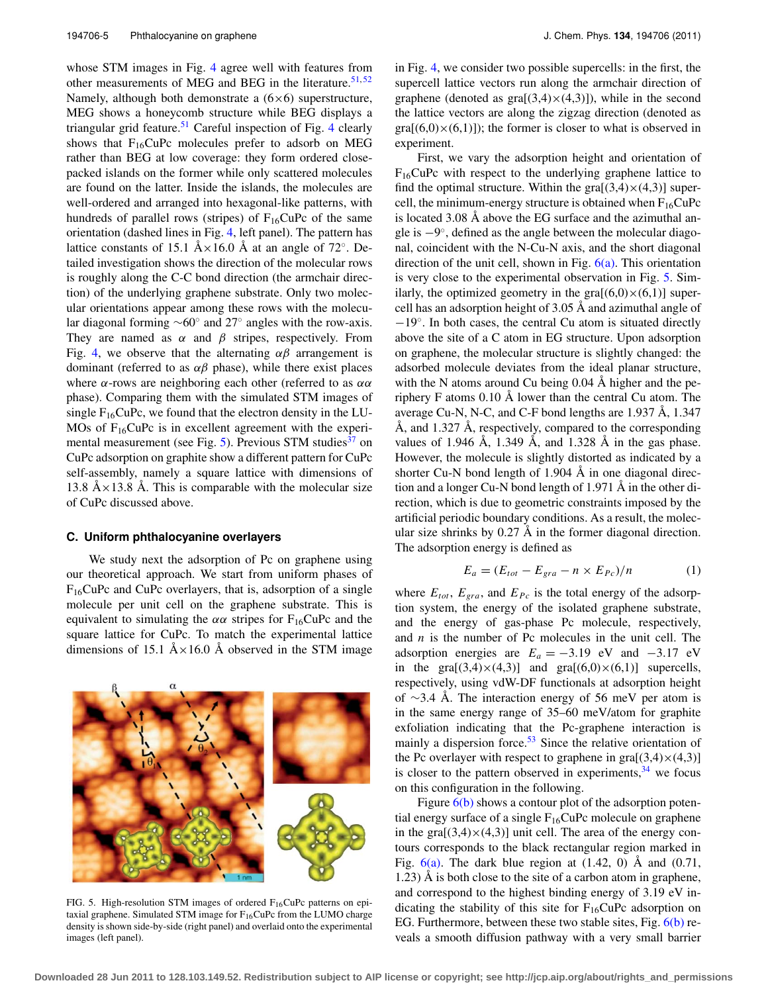whose STM images in Fig. [4](#page-3-2) agree well with features from other measurements of MEG and BEG in the literature.<sup>[51,](#page-9-42)[52](#page-9-43)</sup> Namely, although both demonstrate a  $(6\times6)$  superstructure, MEG shows a honeycomb structure while BEG displays a triangular grid feature.<sup>[51](#page-9-42)</sup> Careful inspection of Fig. [4](#page-3-2) clearly shows that  $F_{16}CuPc$  molecules prefer to adsorb on MEG rather than BEG at low coverage: they form ordered closepacked islands on the former while only scattered molecules are found on the latter. Inside the islands, the molecules are well-ordered and arranged into hexagonal-like patterns, with hundreds of parallel rows (stripes) of  $F_{16}CuPc$  of the same orientation (dashed lines in Fig. [4,](#page-3-2) left panel). The pattern has lattice constants of 15.1 Å×16.0 Å at an angle of 72°. Detailed investigation shows the direction of the molecular rows is roughly along the C-C bond direction (the armchair direction) of the underlying graphene substrate. Only two molecular orientations appear among these rows with the molecular diagonal forming ∼60◦ and 27◦ angles with the row-axis. They are named as  $\alpha$  and  $\beta$  stripes, respectively. From Fig. [4,](#page-3-2) we observe that the alternating  $\alpha\beta$  arrangement is dominant (referred to as  $\alpha\beta$  phase), while there exist places where  $\alpha$ -rows are neighboring each other (referred to as  $\alpha\alpha$ ) phase). Comparing them with the simulated STM images of single  $F_{16}CuPc$ , we found that the electron density in the LU-MOs of  $F_{16}$ CuPc is in excellent agreement with the experi-mental measurement (see Fig. [5\)](#page-4-0). Previous STM studies<sup>[37](#page-9-28)</sup> on CuPc adsorption on graphite show a different pattern for CuPc self-assembly, namely a square lattice with dimensions of 13.8 Å $\times$ 13.8 Å. This is comparable with the molecular size of CuPc discussed above.

# **C. Uniform phthalocyanine overlayers**

We study next the adsorption of Pc on graphene using our theoretical approach. We start from uniform phases of  $F_{16}$ CuPc and CuPc overlayers, that is, adsorption of a single molecule per unit cell on the graphene substrate. This is equivalent to simulating the  $\alpha\alpha$  stripes for F<sub>16</sub>CuPc and the square lattice for CuPc. To match the experimental lattice dimensions of 15.1  $A \times 16.0$  Å observed in the STM image

FIG. 5. High-resolution STM images of ordered  $F_{16}$ CuPc patterns on epitaxial graphene. Simulated STM image for  $F_{16}Cu$ Pc from the LUMO charge density is shown side-by-side (right panel) and overlaid onto the experimental images (left panel).

in Fig. [4,](#page-3-2) we consider two possible supercells: in the first, the supercell lattice vectors run along the armchair direction of graphene (denoted as  $\text{gra}[(3,4)\times(4,3)]$ ), while in the second the lattice vectors are along the zigzag direction (denoted as  $\text{gra}[(6,0)\times(6,1)]$ ; the former is closer to what is observed in experiment.

First, we vary the adsorption height and orientation of  $F_{16}$ CuPc with respect to the underlying graphene lattice to find the optimal structure. Within the  $\text{gra}[(3,4)\times(4,3)]$  supercell, the minimum-energy structure is obtained when  $F_{16}CuPc$ is located 3.08 Å above the EG surface and the azimuthal angle is −9◦, defined as the angle between the molecular diagonal, coincident with the N-Cu-N axis, and the short diagonal direction of the unit cell, shown in Fig. [6\(a\).](#page-5-0) This orientation is very close to the experimental observation in Fig. [5.](#page-4-0) Similarly, the optimized geometry in the  $\text{gra}[(6,0)\times(6,1)]$  supercell has an adsorption height of 3.05 Å and azimuthal angle of −19◦. In both cases, the central Cu atom is situated directly above the site of a C atom in EG structure. Upon adsorption on graphene, the molecular structure is slightly changed: the adsorbed molecule deviates from the ideal planar structure, with the N atoms around Cu being 0.04 Å higher and the periphery F atoms 0.10 Å lower than the central Cu atom. The average Cu-N, N-C, and C-F bond lengths are 1.937 Å, 1.347 Å, and 1.327 Å, respectively, compared to the corresponding values of 1.946 Å, 1.349 Å, and 1.328 Å in the gas phase. However, the molecule is slightly distorted as indicated by a shorter Cu-N bond length of 1.904 Å in one diagonal direction and a longer Cu-N bond length of 1.971 Å in the other direction, which is due to geometric constraints imposed by the artificial periodic boundary conditions. As a result, the molecular size shrinks by 0.27 Å in the former diagonal direction. The adsorption energy is defined as

$$
E_a = (E_{tot} - E_{gra} - n \times E_{Pc})/n \tag{1}
$$

where  $E_{tot}$ ,  $E_{gra}$ , and  $E_{Pc}$  is the total energy of the adsorption system, the energy of the isolated graphene substrate, and the energy of gas-phase Pc molecule, respectively, and *n* is the number of Pc molecules in the unit cell. The adsorption energies are  $E_a = -3.19$  eV and  $-3.17$  eV in the gra $[(3,4)\times(4,3)]$  and gra $[(6,0)\times(6,1)]$  supercells, respectively, using vdW-DF functionals at adsorption height of ∼3.4 Å. The interaction energy of 56 meV per atom is in the same energy range of 35–60 meV/atom for graphite exfoliation indicating that the Pc-graphene interaction is mainly a dispersion force. $53$  Since the relative orientation of the Pc overlayer with respect to graphene in  $\text{gra}[(3,4)\times(4,3)]$ is closer to the pattern observed in experiments,  $34$  we focus on this configuration in the following.

Figure  $6(b)$  shows a contour plot of the adsorption potential energy surface of a single  $F_{16}CuPc$  molecule on graphene in the gra $[(3,4)\times(4,3)]$  unit cell. The area of the energy contours corresponds to the black rectangular region marked in Fig.  $6(a)$ . The dark blue region at (1.42, 0) Å and (0.71, 1.23) Å is both close to the site of a carbon atom in graphene, and correspond to the highest binding energy of 3.19 eV indicating the stability of this site for  $F_{16}CuPc$  adsorption on EG. Furthermore, between these two stable sites, Fig.  $6(b)$  reveals a smooth diffusion pathway with a very small barrier

<span id="page-4-0"></span>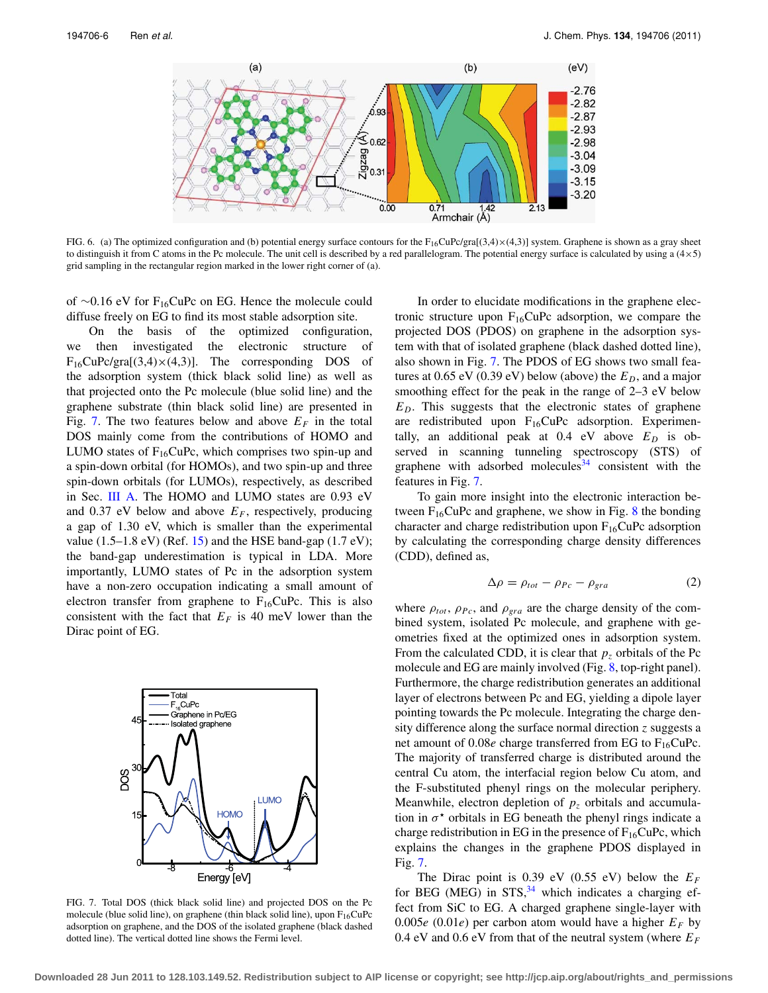<span id="page-5-0"></span>

FIG. 6. (a) The optimized configuration and (b) potential energy surface contours for the  $F_{16}CuPc/gra[(3,4)\times(4,3)]$  system. Graphene is shown as a gray sheet to distinguish it from C atoms in the Pc molecule. The unit cell is described by a red parallelogram. The potential energy surface is calculated by using a (4×5) grid sampling in the rectangular region marked in the lower right corner of (a).

of ∼0.16 eV for F16CuPc on EG. Hence the molecule could diffuse freely on EG to find its most stable adsorption site.

On the basis of the optimized configuration, we then investigated the electronic structure of  $F_{16}$ CuPc/gra[(3,4) $\times$ (4,3)]. The corresponding DOS of the adsorption system (thick black solid line) as well as that projected onto the Pc molecule (blue solid line) and the graphene substrate (thin black solid line) are presented in Fig. [7.](#page-5-1) The two features below and above  $E_F$  in the total DOS mainly come from the contributions of HOMO and LUMO states of  $F_{16}CuPc$ , which comprises two spin-up and a spin-down orbital (for HOMOs), and two spin-up and three spin-down orbitals (for LUMOs), respectively, as described in Sec. [III A.](#page-2-1) The HOMO and LUMO states are 0.93 eV and 0.37 eV below and above  $E_F$ , respectively, producing a gap of 1.30 eV, which is smaller than the experimental value  $(1.5-1.8 \text{ eV})$  (Ref. [15\)](#page-9-7) and the HSE band-gap  $(1.7 \text{ eV})$ ; the band-gap underestimation is typical in LDA. More importantly, LUMO states of Pc in the adsorption system have a non-zero occupation indicating a small amount of electron transfer from graphene to  $F_{16}CuPc$ . This is also consistent with the fact that  $E_F$  is 40 meV lower than the Dirac point of EG.

<span id="page-5-1"></span>

FIG. 7. Total DOS (thick black solid line) and projected DOS on the Pc molecule (blue solid line), on graphene (thin black solid line), upon  $F_{16}CuPc$ adsorption on graphene, and the DOS of the isolated graphene (black dashed dotted line). The vertical dotted line shows the Fermi level.

In order to elucidate modifications in the graphene electronic structure upon  $F_{16}CuPc$  adsorption, we compare the projected DOS (PDOS) on graphene in the adsorption system with that of isolated graphene (black dashed dotted line), also shown in Fig. [7.](#page-5-1) The PDOS of EG shows two small features at  $0.65$  eV  $(0.39 \text{ eV})$  below (above) the  $E_D$ , and a major smoothing effect for the peak in the range of 2–3 eV below *ED*. This suggests that the electronic states of graphene are redistributed upon  $F_{16}CuPc$  adsorption. Experimentally, an additional peak at  $0.4$  eV above  $E_D$  is observed in scanning tunneling spectroscopy (STS) of graphene with adsorbed molecules  $34$  consistent with the features in Fig. [7.](#page-5-1)

To gain more insight into the electronic interaction between  $F_{16}CuPc$  and graphene, we show in Fig. [8](#page-6-0) the bonding character and charge redistribution upon  $F_{16}CuPc$  adsorption by calculating the corresponding charge density differences (CDD), defined as,

$$
\Delta \rho = \rho_{tot} - \rho_{Pc} - \rho_{gra} \tag{2}
$$

where  $\rho_{tot}$ ,  $\rho_{Pc}$ , and  $\rho_{gra}$  are the charge density of the combined system, isolated Pc molecule, and graphene with geometries fixed at the optimized ones in adsorption system. From the calculated CDD, it is clear that  $p<sub>z</sub>$  orbitals of the Pc molecule and EG are mainly involved (Fig. [8,](#page-6-0) top-right panel). Furthermore, the charge redistribution generates an additional layer of electrons between Pc and EG, yielding a dipole layer pointing towards the Pc molecule. Integrating the charge density difference along the surface normal direction *z* suggests a net amount of  $0.08e$  charge transferred from EG to  $F_{16}CuPc$ . The majority of transferred charge is distributed around the central Cu atom, the interfacial region below Cu atom, and the F-substituted phenyl rings on the molecular periphery. Meanwhile, electron depletion of  $p<sub>z</sub>$  orbitals and accumulation in  $\sigma^*$  orbitals in EG beneath the phenyl rings indicate a charge redistribution in EG in the presence of  $F_{16}CuPc$ , which explains the changes in the graphene PDOS displayed in Fig. [7.](#page-5-1)

The Dirac point is 0.39 eV (0.55 eV) below the  $E_F$ for BEG (MEG) in  $STS$ , <sup>[34](#page-9-25)</sup> which indicates a charging effect from SiC to EG. A charged graphene single-layer with 0.005 $e$  (0.01 $e$ ) per carbon atom would have a higher  $E_F$  by 0.4 eV and 0.6 eV from that of the neutral system (where *EF*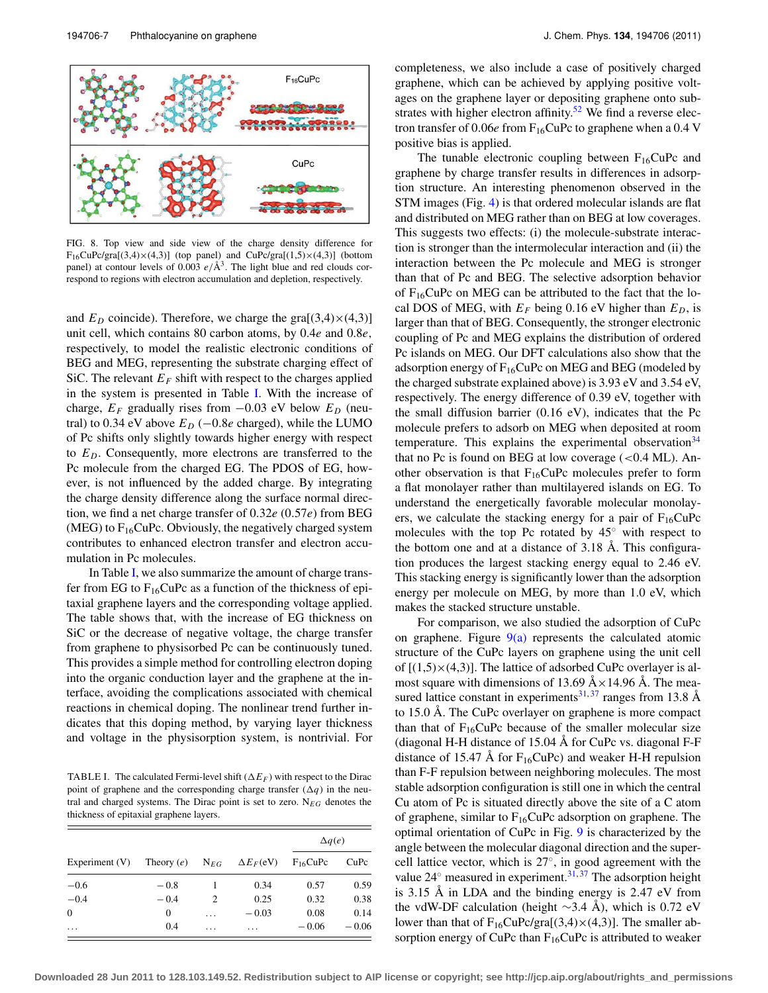<span id="page-6-0"></span>

FIG. 8. Top view and side view of the charge density difference for  $F_{16}CuPc/gra[(3,4)\times(4,3)]$  (top panel) and  $CuPc/gra[(1,5)\times(4,3)]$  (bottom panel) at contour levels of 0.003  $e/\text{\AA}^3$ . The light blue and red clouds correspond to regions with electron accumulation and depletion, respectively.

and  $E_D$  coincide). Therefore, we charge the gra $[(3,4)\times(4,3)]$ unit cell, which contains 80 carbon atoms, by 0.4*e* and 0.8*e*, respectively, to model the realistic electronic conditions of BEG and MEG, representing the substrate charging effect of SiC. The relevant  $E_F$  shift with respect to the charges applied in the system is presented in Table [I.](#page-6-1) With the increase of charge,  $E_F$  gradually rises from  $-0.03$  eV below  $E_D$  (neutral) to 0.34 eV above  $E_D$  ( $-0.8e$  charged), while the LUMO of Pc shifts only slightly towards higher energy with respect to *ED*. Consequently, more electrons are transferred to the Pc molecule from the charged EG. The PDOS of EG, however, is not influenced by the added charge. By integrating the charge density difference along the surface normal direction, we find a net charge transfer of 0.32*e* (0.57*e*) from BEG (MEG) to  $F_{16}CuPc$ . Obviously, the negatively charged system contributes to enhanced electron transfer and electron accumulation in Pc molecules.

In Table [I,](#page-6-1) we also summarize the amount of charge transfer from EG to  $F_{16}CuPc$  as a function of the thickness of epitaxial graphene layers and the corresponding voltage applied. The table shows that, with the increase of EG thickness on SiC or the decrease of negative voltage, the charge transfer from graphene to physisorbed Pc can be continuously tuned. This provides a simple method for controlling electron doping into the organic conduction layer and the graphene at the interface, avoiding the complications associated with chemical reactions in chemical doping. The nonlinear trend further indicates that this doping method, by varying layer thickness and voltage in the physisorption system, is nontrivial. For

<span id="page-6-1"></span>TABLE I. The calculated Fermi-level shift  $(\Delta E_F)$  with respect to the Dirac point of graphene and the corresponding charge transfer  $(\Delta q)$  in the neutral and charged systems. The Dirac point is set to zero. N*EG* denotes the thickness of epitaxial graphene layers.

|                  |              |          |                                                   | $\Delta q(e)$ |         |
|------------------|--------------|----------|---------------------------------------------------|---------------|---------|
| Experiment $(V)$ |              |          | Theory (e) $N_{EG}$ $\Delta E_F(eV)$ $F_{16}CuPc$ |               | CuPc    |
| $-0.6$           | $-0.8$       |          | 0.34                                              | 0.57          | 0.59    |
| $-0.4$           | $-0.4$       | 2        | 0.25                                              | 0.32          | 0.38    |
| $\overline{0}$   | $\mathbf{0}$ | $\cdots$ | $-0.03$                                           | 0.08          | 0.14    |
| $\cdot$          | 0.4          | $\cdot$  | .                                                 | $-0.06$       | $-0.06$ |

completeness, we also include a case of positively charged graphene, which can be achieved by applying positive voltages on the graphene layer or depositing graphene onto sub-strates with higher electron affinity.<sup>[52](#page-9-43)</sup> We find a reverse electron transfer of  $0.06e$  from  $F_{16}$ CuPc to graphene when a  $0.4$  V positive bias is applied.

The tunable electronic coupling between  $F_{16}CuPc$  and graphene by charge transfer results in differences in adsorption structure. An interesting phenomenon observed in the STM images (Fig. [4\)](#page-3-2) is that ordered molecular islands are flat and distributed on MEG rather than on BEG at low coverages. This suggests two effects: (i) the molecule-substrate interaction is stronger than the intermolecular interaction and (ii) the interaction between the Pc molecule and MEG is stronger than that of Pc and BEG. The selective adsorption behavior of  $F_{16}$ CuPc on MEG can be attributed to the fact that the local DOS of MEG, with  $E_F$  being 0.16 eV higher than  $E_D$ , is larger than that of BEG. Consequently, the stronger electronic coupling of Pc and MEG explains the distribution of ordered Pc islands on MEG. Our DFT calculations also show that the adsorption energy of  $F_{16}CuPc$  on MEG and BEG (modeled by the charged substrate explained above) is 3.93 eV and 3.54 eV, respectively. The energy difference of 0.39 eV, together with the small diffusion barrier (0.16 eV), indicates that the Pc molecule prefers to adsorb on MEG when deposited at room temperature. This explains the experimental observation  $34$ that no Pc is found on BEG at low coverage  $(<0.4$  ML). Another observation is that  $F_{16}CuPc$  molecules prefer to form a flat monolayer rather than multilayered islands on EG. To understand the energetically favorable molecular monolayers, we calculate the stacking energy for a pair of  $F_{16}CuPc$ molecules with the top Pc rotated by 45◦ with respect to the bottom one and at a distance of 3.18 Å. This configuration produces the largest stacking energy equal to 2.46 eV. This stacking energy is significantly lower than the adsorption energy per molecule on MEG, by more than 1.0 eV, which makes the stacked structure unstable.

For comparison, we also studied the adsorption of CuPc on graphene. Figure  $9(a)$  represents the calculated atomic structure of the CuPc layers on graphene using the unit cell of  $[(1,5)\times(4,3)]$ . The lattice of adsorbed CuPc overlayer is almost square with dimensions of 13.69  $A \times 14.96$  Å. The mea-sured lattice constant in experiments<sup>31,[37](#page-9-28)</sup> ranges from 13.8 Å to 15.0 Å. The CuPc overlayer on graphene is more compact than that of  $F_{16}CuPc$  because of the smaller molecular size (diagonal H-H distance of 15.04 Å for CuPc vs. diagonal F-F distance of 15.47 Å for  $F_{16}CuPc$ ) and weaker H-H repulsion than F-F repulsion between neighboring molecules. The most stable adsorption configuration is still one in which the central Cu atom of Pc is situated directly above the site of a C atom of graphene, similar to  $F_{16}$ CuPc adsorption on graphene. The optimal orientation of CuPc in Fig. [9](#page-7-0) is characterized by the angle between the molecular diagonal direction and the supercell lattice vector, which is 27◦, in good agreement with the value  $24^\circ$  measured in experiment.<sup>31,[37](#page-9-28)</sup> The adsorption height is 3.15 Å in LDA and the binding energy is 2.47 eV from the vdW-DF calculation (height ∼3.4 Å), which is 0.72 eV lower than that of  $F_{16}CuPc/gra[(3,4)\times(4,3)]$ . The smaller absorption energy of CuPc than  $F_{16}$ CuPc is attributed to weaker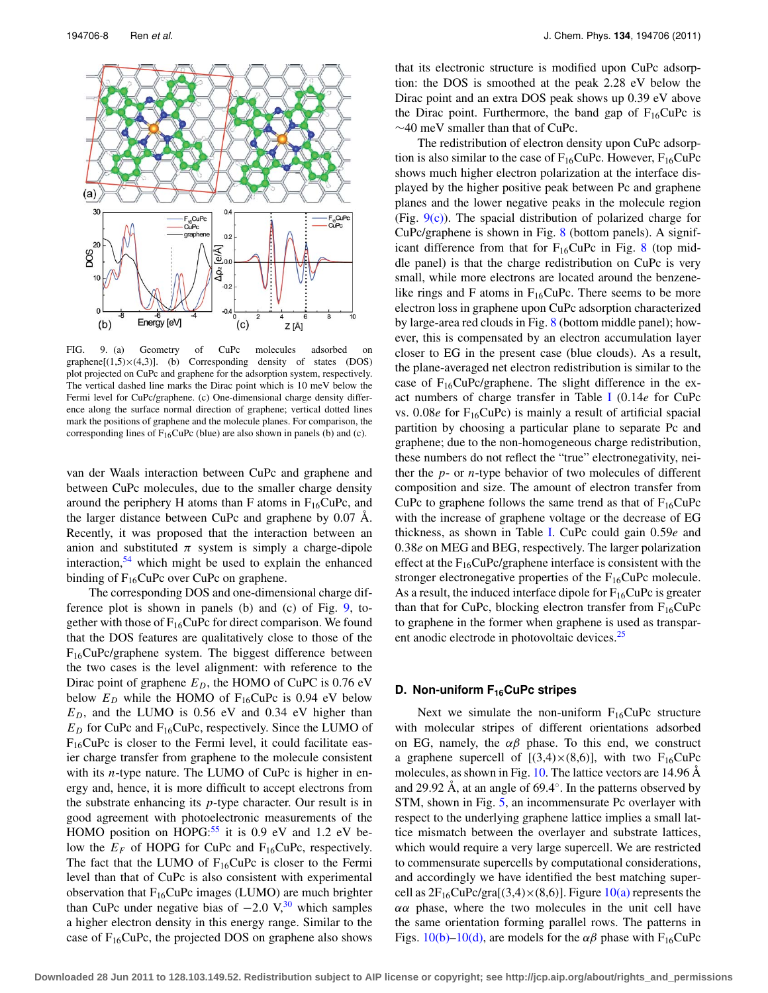<span id="page-7-0"></span>

FIG. 9. (a) Geometry of CuPc molecules adsorbed on graphene $[(1,5)\times(4,3)]$ . (b) Corresponding density of states (DOS) plot projected on CuPc and graphene for the adsorption system, respectively. The vertical dashed line marks the Dirac point which is 10 meV below the Fermi level for CuPc/graphene. (c) One-dimensional charge density difference along the surface normal direction of graphene; vertical dotted lines mark the positions of graphene and the molecule planes. For comparison, the corresponding lines of  $F_{16}CuPc$  (blue) are also shown in panels (b) and (c).

van der Waals interaction between CuPc and graphene and between CuPc molecules, due to the smaller charge density around the periphery H atoms than F atoms in  $F_{16}CuPc$ , and the larger distance between CuPc and graphene by 0.07 Å. Recently, it was proposed that the interaction between an anion and substituted  $\pi$  system is simply a charge-dipole interaction,  $54$  which might be used to explain the enhanced binding of  $F_{16}$ CuPc over CuPc on graphene.

The corresponding DOS and one-dimensional charge difference plot is shown in panels (b) and (c) of Fig. [9,](#page-7-0) together with those of  $F_{16}CuPc$  for direct comparison. We found that the DOS features are qualitatively close to those of the F16CuPc/graphene system. The biggest difference between the two cases is the level alignment: with reference to the Dirac point of graphene  $E_D$ , the HOMO of CuPC is 0.76 eV below  $E_D$  while the HOMO of  $F_{16}$ CuPc is 0.94 eV below  $E_D$ , and the LUMO is 0.56 eV and 0.34 eV higher than  $E_D$  for CuPc and  $F_{16}$ CuPc, respectively. Since the LUMO of  $F_{16}$ CuPc is closer to the Fermi level, it could facilitate easier charge transfer from graphene to the molecule consistent with its *n*-type nature. The LUMO of CuPc is higher in energy and, hence, it is more difficult to accept electrons from the substrate enhancing its *p*-type character. Our result is in good agreement with photoelectronic measurements of the HOMO position on HOPG: $55$  it is 0.9 eV and 1.2 eV below the  $E_F$  of HOPG for CuPc and F<sub>16</sub>CuPc, respectively. The fact that the LUMO of  $F_{16}$ CuPc is closer to the Fermi level than that of CuPc is also consistent with experimental observation that  $F_{16}CuPc$  images (LUMO) are much brighter than CuPc under negative bias of  $-2.0 \text{ V}$ ,<sup>[30](#page-9-21)</sup> which samples a higher electron density in this energy range. Similar to the case of  $F_{16}CuPc$ , the projected DOS on graphene also shows that its electronic structure is modified upon CuPc adsorption: the DOS is smoothed at the peak 2.28 eV below the Dirac point and an extra DOS peak shows up 0.39 eV above the Dirac point. Furthermore, the band gap of  $F_{16}CuPc$  is ∼40 meV smaller than that of CuPc.

The redistribution of electron density upon CuPc adsorption is also similar to the case of  $F_{16}CuPc$ . However,  $F_{16}CuPc$ shows much higher electron polarization at the interface displayed by the higher positive peak between Pc and graphene planes and the lower negative peaks in the molecule region (Fig.  $9(c)$ ). The spacial distribution of polarized charge for CuPc/graphene is shown in Fig. [8](#page-6-0) (bottom panels). A significant difference from that for  $F_{16}CuPc$  in Fig. [8](#page-6-0) (top middle panel) is that the charge redistribution on CuPc is very small, while more electrons are located around the benzenelike rings and F atoms in  $F_{16}CuPc$ . There seems to be more electron loss in graphene upon CuPc adsorption characterized by large-area red clouds in Fig. [8](#page-6-0) (bottom middle panel); however, this is compensated by an electron accumulation layer closer to EG in the present case (blue clouds). As a result, the plane-averaged net electron redistribution is similar to the case of  $F_{16}CuPc/graphene$ . The slight difference in the exact numbers of charge transfer in Table [I](#page-6-1) (0.14*e* for CuPc vs.  $0.08e$  for  $F_{16}CuPc$ ) is mainly a result of artificial spacial partition by choosing a particular plane to separate Pc and graphene; due to the non-homogeneous charge redistribution, these numbers do not reflect the "true" electronegativity, neither the *p*- or *n*-type behavior of two molecules of different composition and size. The amount of electron transfer from CuPc to graphene follows the same trend as that of  $F_{16}CuPc$ with the increase of graphene voltage or the decrease of EG thickness, as shown in Table [I.](#page-6-1) CuPc could gain 0.59*e* and 0.38*e* on MEG and BEG, respectively. The larger polarization effect at the  $F_{16}CuPc/graphene$  interface is consistent with the stronger electronegative properties of the  $F_{16}CuPc$  molecule. As a result, the induced interface dipole for  $F_{16}CuPc$  is greater than that for CuPc, blocking electron transfer from  $F_{16}CuPc$ to graphene in the former when graphene is used as transpar-ent anodic electrode in photovoltaic devices.<sup>[25](#page-9-17)</sup>

## **D. Non-uniform F<sub>16</sub>CuPc stripes**

Next we simulate the non-uniform  $F_{16}CuPc$  structure with molecular stripes of different orientations adsorbed on EG, namely, the  $\alpha\beta$  phase. To this end, we construct a graphene supercell of  $[(3,4)\times(8,6)]$ , with two F<sub>16</sub>CuPc molecules, as shown in Fig. [10.](#page-8-0) The lattice vectors are 14.96 Å and 29.92 Å, at an angle of 69.4◦. In the patterns observed by STM, shown in Fig. [5,](#page-4-0) an incommensurate Pc overlayer with respect to the underlying graphene lattice implies a small lattice mismatch between the overlayer and substrate lattices, which would require a very large supercell. We are restricted to commensurate supercells by computational considerations, and accordingly we have identified the best matching supercell as  $2F_{16}CuPc/gra[(3,4)\times(8,6)]$ . Figure  $10(a)$  represents the  $\alpha\alpha$  phase, where the two molecules in the unit cell have the same orientation forming parallel rows. The patterns in Figs.  $10(b)-10(d)$ , are models for the  $\alpha\beta$  phase with F<sub>16</sub>CuPc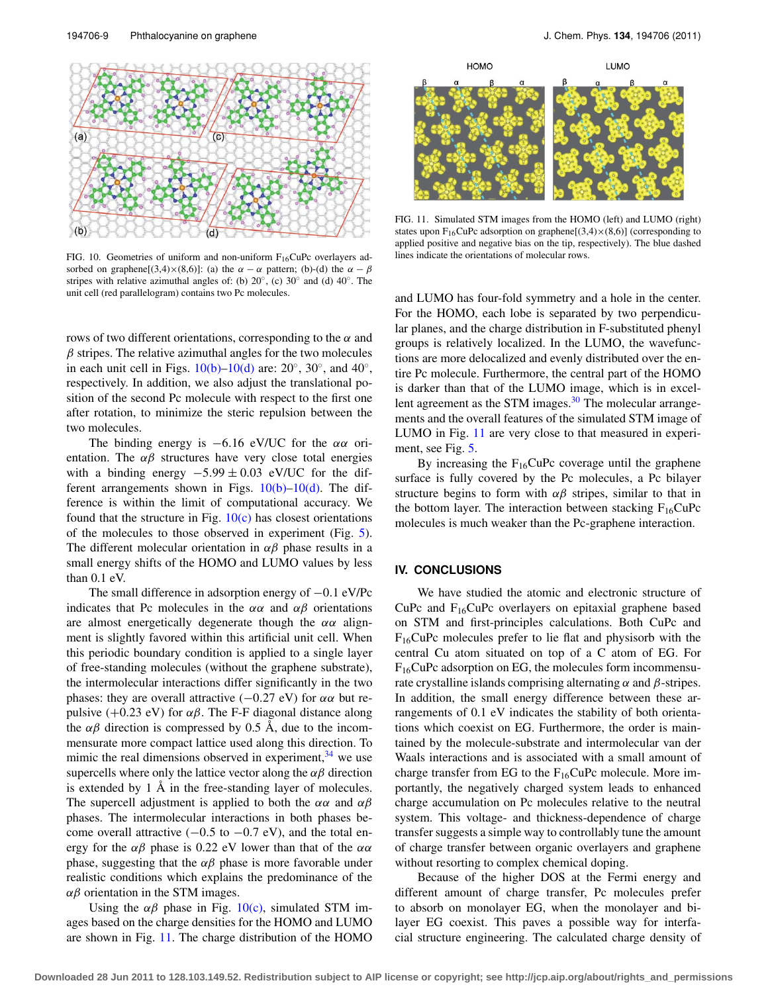<span id="page-8-0"></span>

FIG. 10. Geometries of uniform and non-uniform  $F_{16}CuPc$  overlayers adsorbed on graphene[(3,4)×(8,6)]: (a) the  $\alpha - \alpha$  pattern; (b)-(d) the  $\alpha - \beta$ stripes with relative azimuthal angles of: (b)  $20°$ , (c)  $30°$  and (d)  $40°$ . The unit cell (red parallelogram) contains two Pc molecules.

rows of two different orientations, corresponding to the  $\alpha$  and  $\beta$  stripes. The relative azimuthal angles for the two molecules in each unit cell in Figs.  $10(b)$ – $10(d)$  are:  $20°$ ,  $30°$ , and  $40°$ , respectively. In addition, we also adjust the translational position of the second Pc molecule with respect to the first one after rotation, to minimize the steric repulsion between the two molecules.

The binding energy is  $-6.16$  eV/UC for the  $\alpha\alpha$  orientation. The  $\alpha\beta$  structures have very close total energies with a binding energy  $-5.99 \pm 0.03$  eV/UC for the different arrangements shown in Figs.  $10(b)-10(d)$ . The difference is within the limit of computational accuracy. We found that the structure in Fig.  $10(c)$  has closest orientations of the molecules to those observed in experiment (Fig. [5\)](#page-4-0). The different molecular orientation in  $\alpha\beta$  phase results in a small energy shifts of the HOMO and LUMO values by less than 0.1 eV.

The small difference in adsorption energy of −0.1 eV/Pc indicates that Pc molecules in the  $\alpha\alpha$  and  $\alpha\beta$  orientations are almost energetically degenerate though the  $\alpha\alpha$  alignment is slightly favored within this artificial unit cell. When this periodic boundary condition is applied to a single layer of free-standing molecules (without the graphene substrate), the intermolecular interactions differ significantly in the two phases: they are overall attractive  $(-0.27 \text{ eV})$  for  $\alpha \alpha$  but repulsive (+0.23 eV) for  $\alpha\beta$ . The F-F diagonal distance along the  $\alpha\beta$  direction is compressed by 0.5 Å, due to the incommensurate more compact lattice used along this direction. To mimic the real dimensions observed in experiment,  $34$  we use supercells where only the lattice vector along the  $\alpha\beta$  direction is extended by 1 Å in the free-standing layer of molecules. The supercell adjustment is applied to both the  $\alpha\alpha$  and  $\alpha\beta$ phases. The intermolecular interactions in both phases become overall attractive  $(-0.5 \text{ to } -0.7 \text{ eV})$ , and the total energy for the  $\alpha\beta$  phase is 0.22 eV lower than that of the  $\alpha\alpha$ phase, suggesting that the  $\alpha\beta$  phase is more favorable under realistic conditions which explains the predominance of the  $\alpha$ β orientation in the STM images.

Using the  $\alpha\beta$  phase in Fig. [10\(c\),](#page-8-0) simulated STM images based on the charge densities for the HOMO and LUMO are shown in Fig. [11.](#page-8-1) The charge distribution of the HOMO

<span id="page-8-1"></span>

FIG. 11. Simulated STM images from the HOMO (left) and LUMO (right) states upon F<sub>16</sub>CuPc adsorption on graphene[(3,4) $\times$ (8,6)] (corresponding to applied positive and negative bias on the tip, respectively). The blue dashed lines indicate the orientations of molecular rows.

and LUMO has four-fold symmetry and a hole in the center. For the HOMO, each lobe is separated by two perpendicular planes, and the charge distribution in F-substituted phenyl groups is relatively localized. In the LUMO, the wavefunctions are more delocalized and evenly distributed over the entire Pc molecule. Furthermore, the central part of the HOMO is darker than that of the LUMO image, which is in excellent agreement as the STM images.<sup>30</sup> The molecular arrangements and the overall features of the simulated STM image of LUMO in Fig. [11](#page-8-1) are very close to that measured in experiment, see Fig. [5.](#page-4-0)

By increasing the  $F_{16}CuPc$  coverage until the graphene surface is fully covered by the Pc molecules, a Pc bilayer structure begins to form with  $\alpha\beta$  stripes, similar to that in the bottom layer. The interaction between stacking  $F_{16}CuPc$ molecules is much weaker than the Pc-graphene interaction.

## **IV. CONCLUSIONS**

We have studied the atomic and electronic structure of CuPc and  $F_{16}$ CuPc overlayers on epitaxial graphene based on STM and first-principles calculations. Both CuPc and  $F_{16}$ CuPc molecules prefer to lie flat and physisorb with the central Cu atom situated on top of a C atom of EG. For  $F_{16}$ CuPc adsorption on EG, the molecules form incommensurate crystalline islands comprising alternating  $\alpha$  and  $\beta$ -stripes. In addition, the small energy difference between these arrangements of 0.1 eV indicates the stability of both orientations which coexist on EG. Furthermore, the order is maintained by the molecule-substrate and intermolecular van der Waals interactions and is associated with a small amount of charge transfer from EG to the  $F_{16}CuPc$  molecule. More importantly, the negatively charged system leads to enhanced charge accumulation on Pc molecules relative to the neutral system. This voltage- and thickness-dependence of charge transfer suggests a simple way to controllably tune the amount of charge transfer between organic overlayers and graphene without resorting to complex chemical doping.

Because of the higher DOS at the Fermi energy and different amount of charge transfer, Pc molecules prefer to absorb on monolayer EG, when the monolayer and bilayer EG coexist. This paves a possible way for interfacial structure engineering. The calculated charge density of